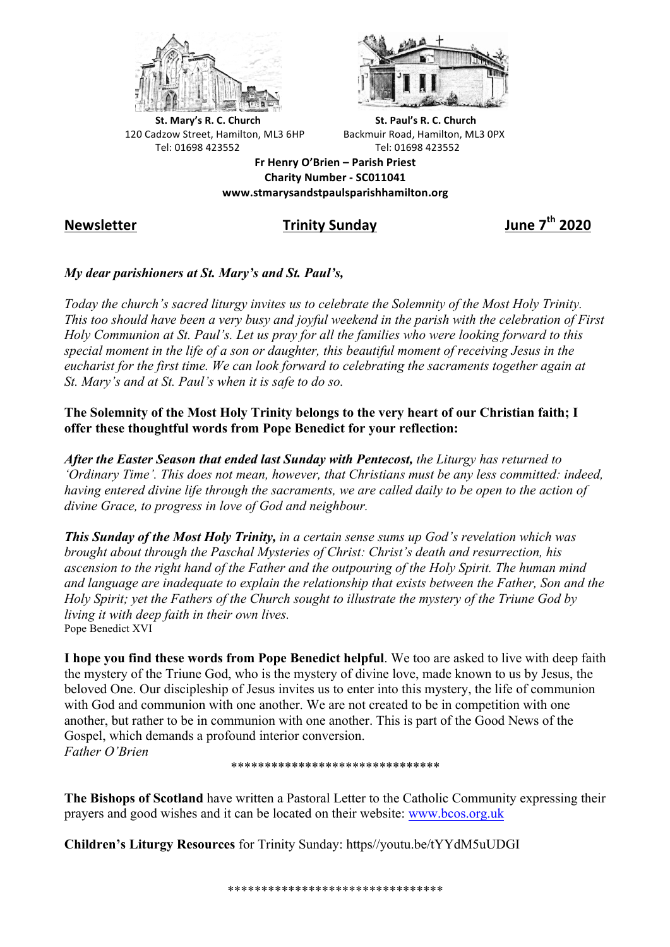



**St.** Mary's R. C. Church St. Paul's R. C. Church 120 Cadzow Street, Hamilton, ML3 6HP Backmuir Road, Hamilton, ML3 0PX Tel: 01698 423552 Tel: 01698 423552

**Fr Henry O'Brien – Parish Priest Charity Number - SC011041 www.stmarysandstpaulsparishhamilton.org**

# **Newsletter Trinity Sunday June 7th 2020**

## *My dear parishioners at St. Mary's and St. Paul's,*

*Today the church's sacred liturgy invites us to celebrate the Solemnity of the Most Holy Trinity. This too should have been a very busy and joyful weekend in the parish with the celebration of First Holy Communion at St. Paul's. Let us pray for all the families who were looking forward to this special moment in the life of a son or daughter, this beautiful moment of receiving Jesus in the eucharist for the first time. We can look forward to celebrating the sacraments together again at St. Mary's and at St. Paul's when it is safe to do so.*

## **The Solemnity of the Most Holy Trinity belongs to the very heart of our Christian faith; I offer these thoughtful words from Pope Benedict for your reflection:**

*After the Easter Season that ended last Sunday with Pentecost, the Liturgy has returned to 'Ordinary Time'. This does not mean, however, that Christians must be any less committed: indeed, having entered divine life through the sacraments, we are called daily to be open to the action of divine Grace, to progress in love of God and neighbour.*

*This Sunday of the Most Holy Trinity, in a certain sense sums up God's revelation which was brought about through the Paschal Mysteries of Christ: Christ's death and resurrection, his ascension to the right hand of the Father and the outpouring of the Holy Spirit. The human mind and language are inadequate to explain the relationship that exists between the Father, Son and the Holy Spirit; yet the Fathers of the Church sought to illustrate the mystery of the Triune God by living it with deep faith in their own lives.* Pope Benedict XVI

**I hope you find these words from Pope Benedict helpful**. We too are asked to live with deep faith the mystery of the Triune God, who is the mystery of divine love, made known to us by Jesus, the beloved One. Our discipleship of Jesus invites us to enter into this mystery, the life of communion with God and communion with one another. We are not created to be in competition with one another, but rather to be in communion with one another. This is part of the Good News of the Gospel, which demands a profound interior conversion. *Father O'Brien*

#### \*\*\*\*\*\*\*\*\*\*\*\*\*\*\*\*\*\*\*\*\*\*\*\*\*\*\*\*\*\*\*

**The Bishops of Scotland** have written a Pastoral Letter to the Catholic Community expressing their prayers and good wishes and it can be located on their website: www.bcos.org.uk

**Children's Liturgy Resources** for Trinity Sunday: https//youtu.be/tYYdM5uUDGI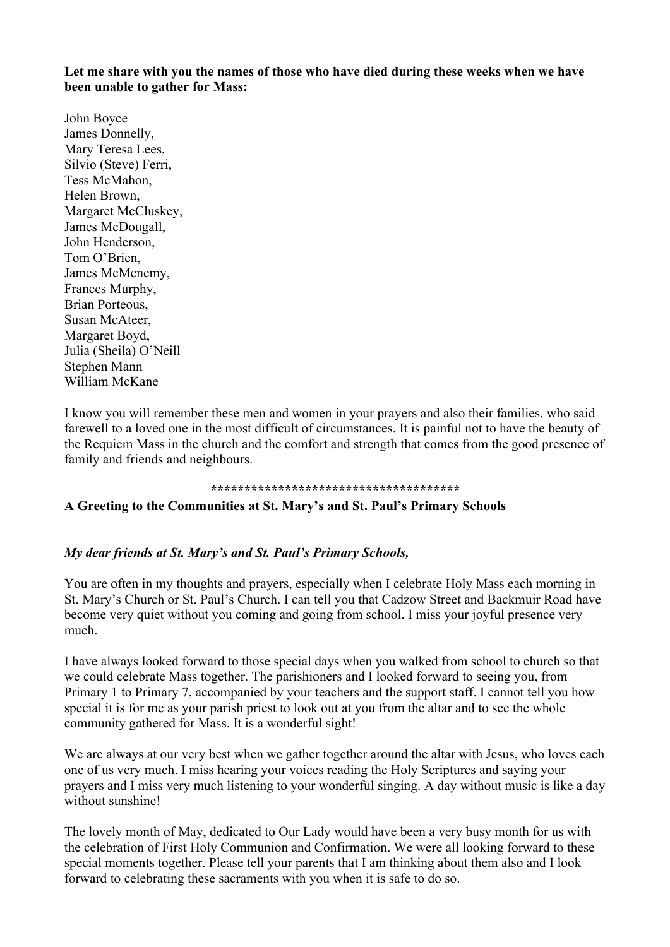**Let me share with you the names of those who have died during these weeks when we have been unable to gather for Mass:**

John Boyce James Donnelly, Mary Teresa Lees, Silvio (Steve) Ferri, Tess McMahon, Helen Brown, Margaret McCluskey, James McDougall, John Henderson, Tom O'Brien, James McMenemy, Frances Murphy, Brian Porteous, Susan McAteer, Margaret Boyd, Julia (Sheila) O'Neill Stephen Mann William McKane

I know you will remember these men and women in your prayers and also their families, who said farewell to a loved one in the most difficult of circumstances. It is painful not to have the beauty of the Requiem Mass in the church and the comfort and strength that comes from the good presence of family and friends and neighbours.

#### **\*\*\*\*\*\*\*\*\*\*\*\*\*\*\*\*\*\*\*\*\*\*\*\*\*\*\*\*\*\*\*\*\*\*\*\*\***

## **A Greeting to the Communities at St. Mary's and St. Paul's Primary Schools**

### *My dear friends at St. Mary's and St. Paul's Primary Schools,*

You are often in my thoughts and prayers, especially when I celebrate Holy Mass each morning in St. Mary's Church or St. Paul's Church. I can tell you that Cadzow Street and Backmuir Road have become very quiet without you coming and going from school. I miss your joyful presence very much.

I have always looked forward to those special days when you walked from school to church so that we could celebrate Mass together. The parishioners and I looked forward to seeing you, from Primary 1 to Primary 7, accompanied by your teachers and the support staff. I cannot tell you how special it is for me as your parish priest to look out at you from the altar and to see the whole community gathered for Mass. It is a wonderful sight!

We are always at our very best when we gather together around the altar with Jesus, who loves each one of us very much. I miss hearing your voices reading the Holy Scriptures and saying your prayers and I miss very much listening to your wonderful singing. A day without music is like a day without sunshine!

The lovely month of May, dedicated to Our Lady would have been a very busy month for us with the celebration of First Holy Communion and Confirmation. We were all looking forward to these special moments together. Please tell your parents that I am thinking about them also and I look forward to celebrating these sacraments with you when it is safe to do so.